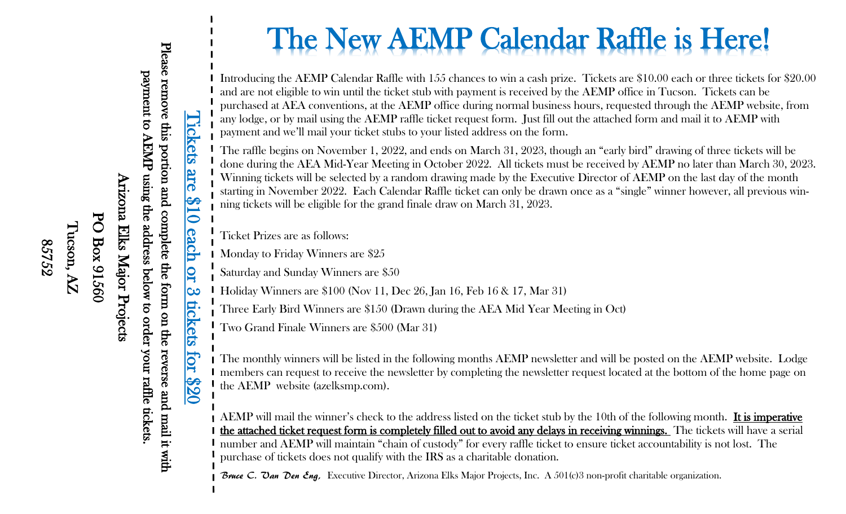Please remove this portion and complete the form on the reverse and mail it with payment to AEMP using the address below to order your raffle tickets.<br>Arizona Elks Major Projects<br>PO Box 91560  $\Lambda Z$ <br> $\text{St32}$ 85752

## Tickets are  $\$10$  each or 3 tickets for  $\$20$ <br>Please remove this portion and complete the form on the reverse and mail it with **l'ickets** are S  $\ddot{\bullet}$ <u>each</u> QI  $|$ လ EC kets for 820

# The New AEMP Calendar Raffle is Here!

Introducing the AEMP Calendar Raffle with 155 chances to win a cash prize. Tickets are \$10.00 each or three tickets for \$20.00 and are not eligible to win until the ticket stub with payment is received by the AEMP office in Tucson. Tickets can be purchased at AEA conventions, at the AEMP office during normal business hours, requested through the AEMP website, from any lodge, or by mail using the AEMP raffle ticket request form. Just fill out the attached form and mail it to AEMP with payment and we'll mail your ticket stubs to your listed address on the form.

The raffle begins on November 1, 2022, and ends on March 31, 2023, though an "early bird" drawing of three tickets will be done during the AEA Mid-Year Meeting in October 2022. All tickets must be received by AEMP no later than March 30, 2023. Winning tickets will be selected by a random drawing made by the Executive Director of AEMP on the last day of the month starting in November 2022. Each Calendar Raffle ticket can only be drawn once as a "single" winner however, all previous winning tickets will be eligible for the grand finale draw on March 31, 2023.

Ticket Prizes are as follows:

**I** Monday to Friday Winners are \$25

Saturday and Sunday Winners are \$50

Holiday Winners are \$100 (Nov 11, Dec 26, Jan 16, Feb 16 & 17, Mar 31)

Three Early Bird Winners are \$150 (Drawn during the AEA Mid Year Meeting in Oct)

Two Grand Finale Winners are \$500 (Mar 31)

I The monthly winners will be listed in the following months AEMP newsletter and will be posted on the AEMP website. Lodge I members can request to receive the newsletter by completing the newsletter request located at the bottom of the home page on I the AEMP website (azelksmp.com).

AEMP will mail the winner's check to the address listed on the ticket stub by the 10th of the following month. It is imperative the attached ticket request form is completely filled out to avoid any delays in receiving winnings. The tickets will have a serial number and AEMP will maintain "chain of custody" for every raffle ticket to ensure ticket accountability is not lost. The purchase of tickets does not qualify with the IRS as a charitable donation.

Bruce C. Van Den Eng, Executive Director, Arizona Elks Major Projects, Inc. A 501(c)3 non-profit charitable organization.